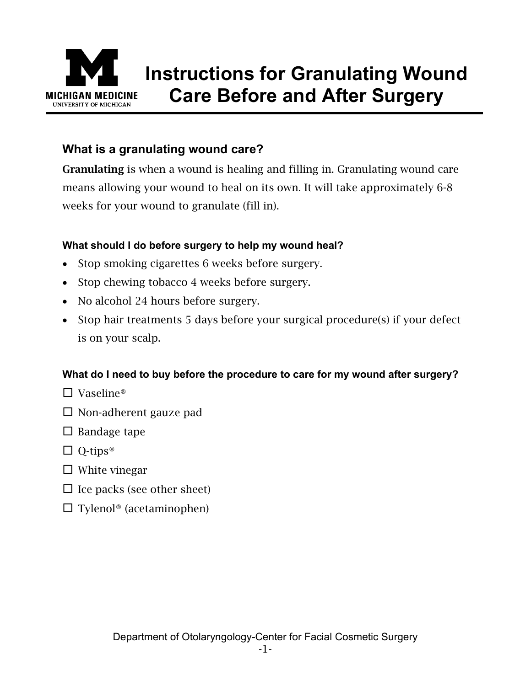

# **Instructions for Granulating Wound Care Before and After Surgery**

# **What is a granulating wound care?**

Granulating is when a wound is healing and filling in. Granulating wound care means allowing your wound to heal on its own. It will take approximately 6-8 weeks for your wound to granulate (fill in).

## **What should I do before surgery to help my wound heal?**

- Stop smoking cigarettes 6 weeks before surgery.
- Stop chewing tobacco 4 weeks before surgery.
- No alcohol 24 hours before surgery.
- Stop hair treatments 5 days before your surgical procedure(s) if your defect is on your scalp.

#### **What do I need to buy before the procedure to care for my wound after surgery?**

- $\Box$  Vaseline®
- $\Box$  Non-adherent gauze pad
- $\square$  Bandage tape
- $\Box$  Q-tips<sup>®</sup>
- $\Box$  White vinegar
- $\Box$  Ice packs (see other sheet)
- $\Box$  Tylenol® (acetaminophen)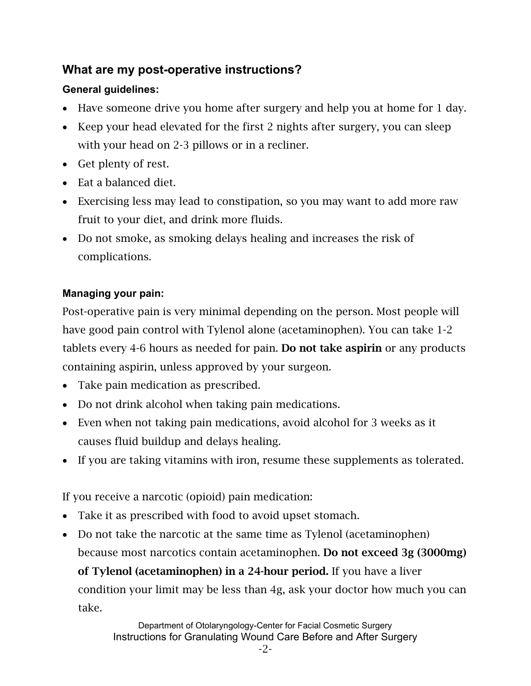## **What are my post-operative instructions?**

## **General guidelines:**

- Have someone drive you home after surgery and help you at home for 1 day.
- Keep your head elevated for the first 2 nights after surgery, you can sleep with your head on 2-3 pillows or in a recliner.
- Get plenty of rest.
- Eat a balanced diet.
- Exercising less may lead to constipation, so you may want to add more raw fruit to your diet, and drink more fluids.
- Do not smoke, as smoking delays healing and increases the risk of complications.

## **Managing your pain:**

Post-operative pain is very minimal depending on the person. Most people will have good pain control with Tylenol alone (acetaminophen). You can take 1-2 tablets every 4-6 hours as needed for pain. Do not take aspirin or any products containing aspirin, unless approved by your surgeon.

- Take pain medication as prescribed.
- Do not drink alcohol when taking pain medications.
- Even when not taking pain medications, avoid alcohol for 3 weeks as it causes fluid buildup and delays healing.
- If you are taking vitamins with iron, resume these supplements as tolerated.

If you receive a narcotic (opioid) pain medication:

- Take it as prescribed with food to avoid upset stomach.
- Do not take the narcotic at the same time as Tylenol (acetaminophen) because most narcotics contain acetaminophen. Do not exceed 3g (3000mg) of Tylenol (acetaminophen) in a 24-hour period. If you have a liver condition your limit may be less than 4g, ask your doctor how much you can take.

Department of Otolaryngology-Center for Facial Cosmetic Surgery Instructions for Granulating Wound Care Before and After Surgery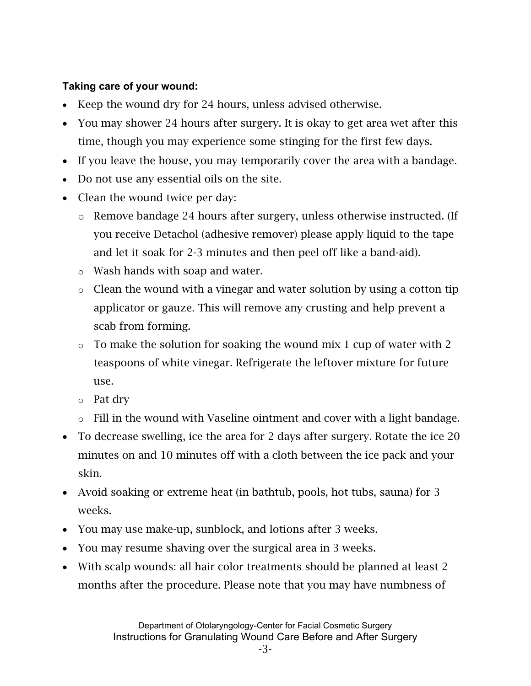#### **Taking care of your wound:**

- Keep the wound dry for 24 hours, unless advised otherwise.
- You may shower 24 hours after surgery. It is okay to get area wet after this time, though you may experience some stinging for the first few days.
- If you leave the house, you may temporarily cover the area with a bandage.
- Do not use any essential oils on the site.
- Clean the wound twice per day:
	- o Remove bandage 24 hours after surgery, unless otherwise instructed. (If you receive Detachol (adhesive remover) please apply liquid to the tape and let it soak for 2-3 minutes and then peel off like a band-aid).
	- o Wash hands with soap and water.
	- o Clean the wound with a vinegar and water solution by using a cotton tip applicator or gauze. This will remove any crusting and help prevent a scab from forming.
	- $\circ$  To make the solution for soaking the wound mix 1 cup of water with 2 teaspoons of white vinegar. Refrigerate the leftover mixture for future use.
	- o Pat dry
	- o Fill in the wound with Vaseline ointment and cover with a light bandage.
- To decrease swelling, ice the area for 2 days after surgery. Rotate the ice 20 minutes on and 10 minutes off with a cloth between the ice pack and your skin.
- Avoid soaking or extreme heat (in bathtub, pools, hot tubs, sauna) for 3 weeks.
- You may use make-up, sunblock, and lotions after 3 weeks.
- You may resume shaving over the surgical area in 3 weeks.
- With scalp wounds: all hair color treatments should be planned at least 2 months after the procedure. Please note that you may have numbness of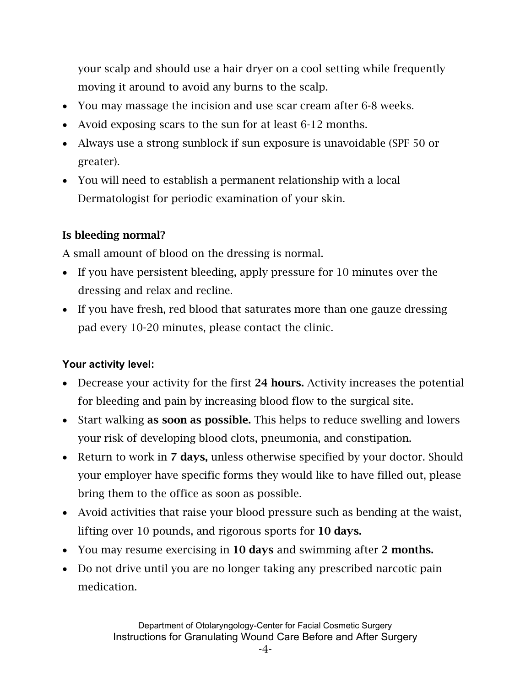your scalp and should use a hair dryer on a cool setting while frequently moving it around to avoid any burns to the scalp.

- You may massage the incision and use scar cream after 6-8 weeks.
- Avoid exposing scars to the sun for at least 6-12 months.
- Always use a strong sunblock if sun exposure is unavoidable (SPF 50 or greater).
- You will need to establish a permanent relationship with a local Dermatologist for periodic examination of your skin.

## Is bleeding normal?

A small amount of blood on the dressing is normal.

- If you have persistent bleeding, apply pressure for 10 minutes over the dressing and relax and recline.
- If you have fresh, red blood that saturates more than one gauze dressing pad every 10-20 minutes, please contact the clinic.

## **Your activity level:**

- Decrease your activity for the first 24 hours. Activity increases the potential for bleeding and pain by increasing blood flow to the surgical site.
- Start walking as soon as possible. This helps to reduce swelling and lowers your risk of developing blood clots, pneumonia, and constipation.
- Return to work in 7 days, unless otherwise specified by your doctor. Should your employer have specific forms they would like to have filled out, please bring them to the office as soon as possible.
- Avoid activities that raise your blood pressure such as bending at the waist, lifting over 10 pounds, and rigorous sports for 10 days.
- You may resume exercising in 10 days and swimming after 2 months.
- Do not drive until you are no longer taking any prescribed narcotic pain medication.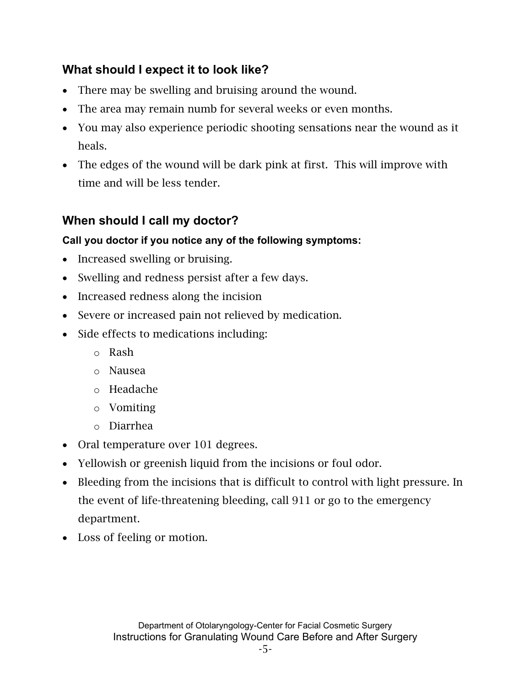# **What should I expect it to look like?**

- There may be swelling and bruising around the wound.
- The area may remain numb for several weeks or even months.
- You may also experience periodic shooting sensations near the wound as it heals.
- The edges of the wound will be dark pink at first. This will improve with time and will be less tender.

# **When should I call my doctor?**

## **Call you doctor if you notice any of the following symptoms:**

- Increased swelling or bruising.
- Swelling and redness persist after a few days.
- Increased redness along the incision
- Severe or increased pain not relieved by medication.
- Side effects to medications including:
	- o Rash
	- o Nausea
	- o Headache
	- o Vomiting
	- o Diarrhea
- Oral temperature over 101 degrees.
- Yellowish or greenish liquid from the incisions or foul odor.
- Bleeding from the incisions that is difficult to control with light pressure. In the event of life-threatening bleeding, call 911 or go to the emergency department.
- Loss of feeling or motion.